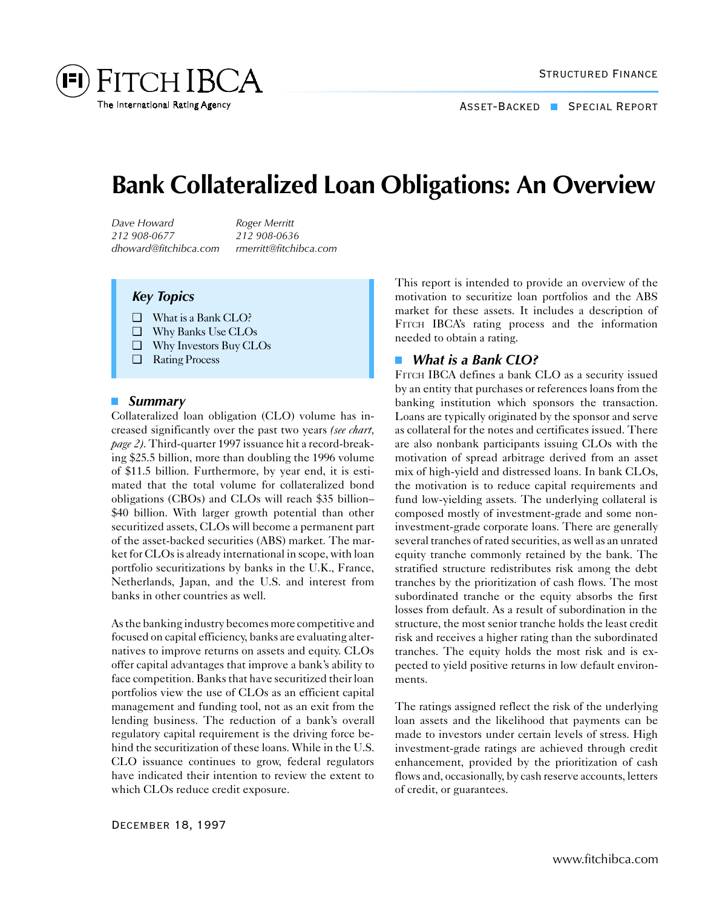

# **Bank Collateralized Loan Obligations: An Overview**

*Dave Howard Roger Merritt 212 908-0677 212 908-0636 dhoward@fitchibca.com rmerritt@fitchibca.com*

## *Key Topics*

- ❑ What is a Bank CLO?
- ❑ Why Banks Use CLOs
- ❑ Why Investors Buy CLOs
- ❑ Rating Process

#### *Summary*

Collateralized loan obligation (CLO) volume has increased significantly over the past two years *(see chart, page 2)*. Third-quarter 1997 issuance hit a record-breaking \$25.5 billion, more than doubling the 1996 volume of \$11.5 billion. Furthermore, by year end, it is estimated that the total volume for collateralized bond obligations (CBOs) and CLOs will reach \$35 billion– \$40 billion. With larger growth potential than other securitized assets, CLOs will become a permanent part of the asset-backed securities (ABS) market. The market for CLOs is already international in scope, with loan portfolio securitizations by banks in the U.K., France, Netherlands, Japan, and the U.S. and interest from banks in other countries as well.

As the banking industry becomes more competitive and focused on capital efficiency, banks are evaluating alternatives to improve returns on assets and equity. CLOs offer capital advantages that improve a bank's ability to face competition. Banks that have securitized their loan portfolios view the use of CLOs as an efficient capital management and funding tool, not as an exit from the lending business. The reduction of a bank's overall regulatory capital requirement is the driving force behind the securitization of these loans. While in the U.S. CLO issuance continues to grow, federal regulators have indicated their intention to review the extent to which CLOs reduce credit exposure.

This report is intended to provide an overview of the motivation to securitize loan portfolios and the ABS market for these assets. It includes a description of FITCH IBCA's rating process and the information needed to obtain a rating.

#### $\Box$ *What is a Bank CLO?*

FITCH IBCA defines a bank CLO as a security issued by an entity that purchases or references loans from the banking institution which sponsors the transaction. Loans are typically originated by the sponsor and serve as collateral for the notes and certificates issued. There are also nonbank participants issuing CLOs with the motivation of spread arbitrage derived from an asset mix of high-yield and distressed loans. In bank CLOs, the motivation is to reduce capital requirements and fund low-yielding assets. The underlying collateral is composed mostly of investment-grade and some noninvestment-grade corporate loans. There are generally several tranches of rated securities, as well as an unrated equity tranche commonly retained by the bank. The stratified structure redistributes risk among the debt tranches by the prioritization of cash flows. The most subordinated tranche or the equity absorbs the first losses from default. As a result of subordination in the structure, the most senior tranche holds the least credit risk and receives a higher rating than the subordinated tranches. The equity holds the most risk and is expected to yield positive returns in low default environments.

The ratings assigned reflect the risk of the underlying loan assets and the likelihood that payments can be made to investors under certain levels of stress. High investment-grade ratings are achieved through credit enhancement, provided by the prioritization of cash flows and, occasionally, by cash reserve accounts, letters of credit, or guarantees.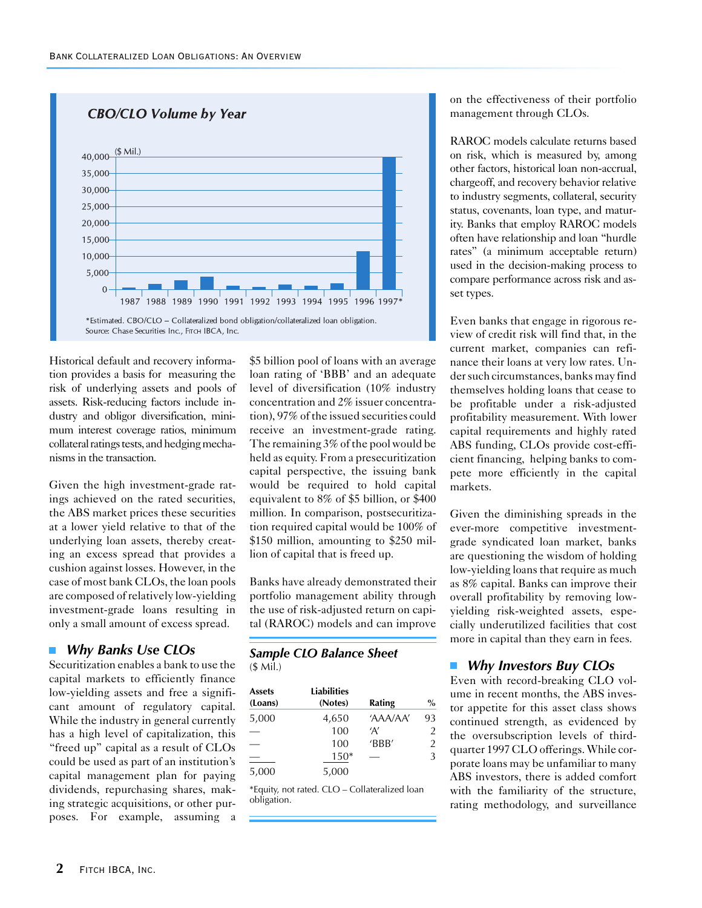

Historical default and recovery information provides a basis for measuring the risk of underlying assets and pools of assets. Risk-reducing factors include industry and obligor diversification, minimum interest coverage ratios, minimum collateral ratings tests, and hedging mechanisms in the transaction.

Given the high investment-grade ratings achieved on the rated securities, the ABS market prices these securities at a lower yield relative to that of the underlying loan assets, thereby creating an excess spread that provides a cushion against losses. However, in the case of most bank CLOs, the loan pools are composed of relatively low-yielding investment-grade loans resulting in only a small amount of excess spread.

#### *Why Banks Use CLOs*  $\mathcal{L}_{\mathcal{A}}$

Securitization enables a bank to use the capital markets to efficiently finance low-yielding assets and free a significant amount of regulatory capital. While the industry in general currently has a high level of capitalization, this "freed up" capital as a result of CLOs could be used as part of an institution's capital management plan for paying dividends, repurchasing shares, making strategic acquisitions, or other purposes. For example, assuming a

\$5 billion pool of loans with an average loan rating of 'BBB' and an adequate level of diversification (10% industry concentration and 2% issuer concentration), 97% of the issued securities could receive an investment-grade rating. The remaining 3% of the pool would be held as equity. From a presecuritization capital perspective, the issuing bank would be required to hold capital equivalent to 8% of \$5 billion, or \$400 million. In comparison, postsecuritization required capital would be 100% of \$150 million, amounting to \$250 million of capital that is freed up.

Banks have already demonstrated their portfolio management ability through the use of risk-adjusted return on capital (RAROC) models and can improve

## *Sample CLO Balance Sheet*

| $($$ Mil.) |  |  |
|------------|--|--|
|------------|--|--|

| <b>Assets</b><br>(Loans) | <b>Liabilities</b><br>(Notes) | Rating   | $\%$ |
|--------------------------|-------------------------------|----------|------|
| 5,000                    | 4,650                         | 'AAA/AA' | 93   |
|                          | 100                           | 'Α'      | 2    |
|                          | 100                           | 'BBB'    | 2    |
|                          | $150*$                        |          | 3    |
| 5,000                    | 5,000                         |          |      |

\*Equity, not rated. CLO – Collateralized loan obligation.

on the effectiveness of their portfolio management through CLOs.

RAROC models calculate returns based on risk, which is measured by, among other factors, historical loan non-accrual, chargeoff, and recovery behavior relative to industry segments, collateral, security status, covenants, loan type, and maturity. Banks that employ RAROC models often have relationship and loan "hurdle rates" (a minimum acceptable return) used in the decision-making process to compare performance across risk and asset types.

Even banks that engage in rigorous review of credit risk will find that, in the current market, companies can refinance their loans at very low rates. Under such circumstances, banks may find themselves holding loans that cease to be profitable under a risk-adjusted profitability measurement. With lower capital requirements and highly rated ABS funding, CLOs provide cost-efficient financing, helping banks to compete more efficiently in the capital markets.

Given the diminishing spreads in the ever-more competitive investmentgrade syndicated loan market, banks are questioning the wisdom of holding low-yielding loans that require as much as 8% capital. Banks can improve their overall profitability by removing lowyielding risk-weighted assets, especially underutilized facilities that cost more in capital than they earn in fees.

#### *Why Investors Buy CLOs*

Even with record-breaking CLO volume in recent months, the ABS investor appetite for this asset class shows continued strength, as evidenced by the oversubscription levels of thirdquarter 1997 CLO offerings. While corporate loans may be unfamiliar to many ABS investors, there is added comfort with the familiarity of the structure, rating methodology, and surveillance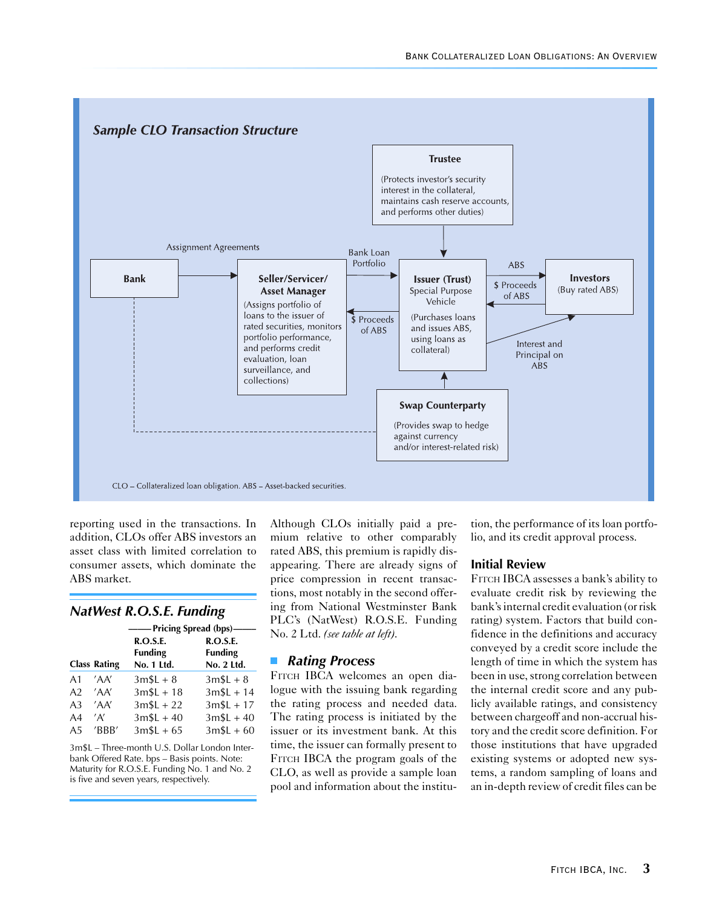

reporting used in the transactions. In addition, CLOs offer ABS investors an asset class with limited correlation to consumer assets, which dominate the ABS market.

### *NatWest R.O.S.E. Funding*

|                |                     | — Pricing Spread (bps)–                  |                                          |  |  |
|----------------|---------------------|------------------------------------------|------------------------------------------|--|--|
|                | <b>Class Rating</b> | R.O.S.E.<br><b>Funding</b><br>No. 1 Ltd. | R.O.S.E.<br><b>Funding</b><br>No. 2 Ltd. |  |  |
| A1             | 'AA'                | $3mSL + 8$                               | $3mSL + 8$                               |  |  |
| A <sub>2</sub> | 'AA'                | $3mSL + 18$                              | $3mSL + 14$                              |  |  |
| A <sub>3</sub> | 'AA'                | $3mSL + 22$                              | $3mSL + 17$                              |  |  |
| A4             | 'A'                 | $3mSL + 40$                              | $3m$L + 40$                              |  |  |
| A5             | 'BBB'               | $3mSL + 65$                              | $3m$L + 60$                              |  |  |

3m\$L – Three-month U.S. Dollar London Interbank Offered Rate. bps – Basis points. Note: Maturity for R.O.S.E. Funding No. 1 and No. 2 is five and seven years, respectively.

Although CLOs initially paid a premium relative to other comparably rated ABS, this premium is rapidly disappearing. There are already signs of price compression in recent transactions, most notably in the second offering from National Westminster Bank PLC's (NatWest) R.O.S.E. Funding No. 2 Ltd. *(see table at left)*.

#### *Rating Process*  $\left\vert \cdot\right\vert$

FITCH IBCA welcomes an open dialogue with the issuing bank regarding the rating process and needed data. The rating process is initiated by the issuer or its investment bank. At this time, the issuer can formally present to FITCH IBCA the program goals of the CLO, as well as provide a sample loan pool and information about the institution, the performance of its loan portfolio, and its credit approval process.

#### **Initial Review**

FITCH IBCA assesses a bank's ability to evaluate credit risk by reviewing the bank's internal credit evaluation (or risk rating) system. Factors that build confidence in the definitions and accuracy conveyed by a credit score include the length of time in which the system has been in use, strong correlation between the internal credit score and any publicly available ratings, and consistency between chargeoff and non-accrual history and the credit score definition. For those institutions that have upgraded existing systems or adopted new systems, a random sampling of loans and an in-depth review of credit files can be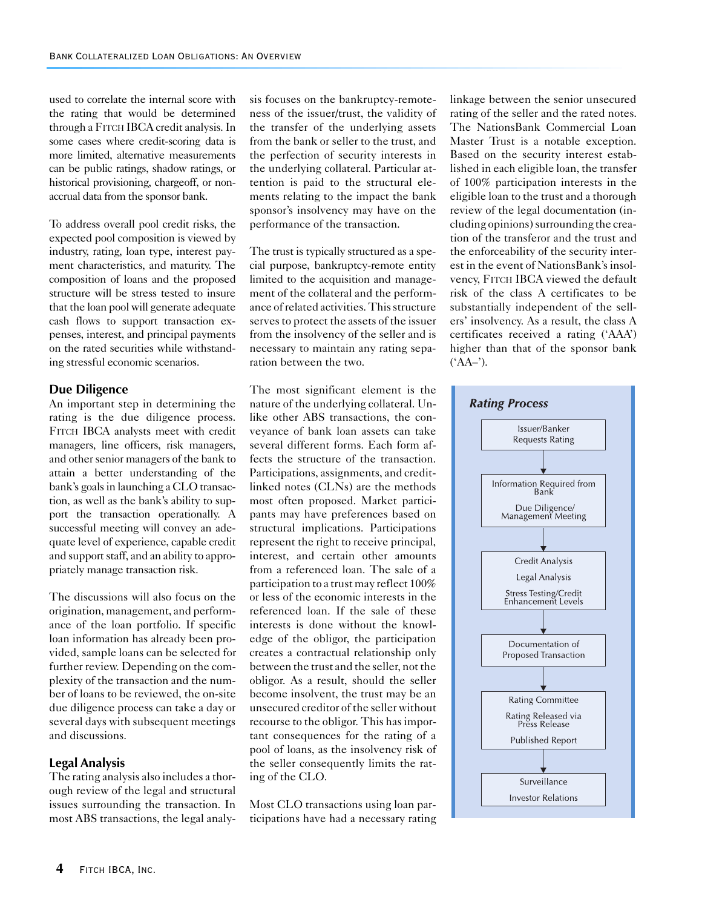used to correlate the internal score with the rating that would be determined through a FITCH IBCA credit analysis. In some cases where credit-scoring data is more limited, alternative measurements can be public ratings, shadow ratings, or historical provisioning, chargeoff, or nonaccrual data from the sponsor bank.

To address overall pool credit risks, the expected pool composition is viewed by industry, rating, loan type, interest payment characteristics, and maturity. The composition of loans and the proposed structure will be stress tested to insure that the loan pool will generate adequate cash flows to support transaction expenses, interest, and principal payments on the rated securities while withstanding stressful economic scenarios.

#### **Due Diligence**

An important step in determining the rating is the due diligence process. FITCH IBCA analysts meet with credit managers, line officers, risk managers, and other senior managers of the bank to attain a better understanding of the bank's goals in launching a CLO transaction, as well as the bank's ability to support the transaction operationally. A successful meeting will convey an adequate level of experience, capable credit and support staff, and an ability to appropriately manage transaction risk.

The discussions will also focus on the origination, management, and performance of the loan portfolio. If specific loan information has already been provided, sample loans can be selected for further review. Depending on the complexity of the transaction and the number of loans to be reviewed, the on-site due diligence process can take a day or several days with subsequent meetings and discussions.

#### **Legal Analysis**

The rating analysis also includes a thorough review of the legal and structural issues surrounding the transaction. In most ABS transactions, the legal analysis focuses on the bankruptcy-remoteness of the issuer/trust, the validity of the transfer of the underlying assets from the bank or seller to the trust, and the perfection of security interests in the underlying collateral. Particular attention is paid to the structural elements relating to the impact the bank sponsor's insolvency may have on the performance of the transaction.

The trust is typically structured as a special purpose, bankruptcy-remote entity limited to the acquisition and management of the collateral and the performance of related activities. This structure serves to protect the assets of the issuer from the insolvency of the seller and is necessary to maintain any rating separation between the two.

The most significant element is the nature of the underlying collateral. Unlike other ABS transactions, the conveyance of bank loan assets can take several different forms. Each form affects the structure of the transaction. Participations, assignments, and creditlinked notes (CLNs) are the methods most often proposed. Market participants may have preferences based on structural implications. Participations represent the right to receive principal, interest, and certain other amounts from a referenced loan. The sale of a participation to a trust may reflect 100% or less of the economic interests in the referenced loan. If the sale of these interests is done without the knowledge of the obligor, the participation creates a contractual relationship only between the trust and the seller, not the obligor. As a result, should the seller become insolvent, the trust may be an unsecured creditor of the seller without recourse to the obligor. This has important consequences for the rating of a pool of loans, as the insolvency risk of the seller consequently limits the rating of the CLO.

Most CLO transactions using loan participations have had a necessary rating linkage between the senior unsecured rating of the seller and the rated notes. The NationsBank Commercial Loan Master Trust is a notable exception. Based on the security interest established in each eligible loan, the transfer of 100% participation interests in the eligible loan to the trust and a thorough review of the legal documentation (including opinions) surrounding the creation of the transferor and the trust and the enforceability of the security interest in the event of NationsBank's insolvency, FITCH IBCA viewed the default risk of the class A certificates to be substantially independent of the sellers' insolvency. As a result, the class A certificates received a rating ('AAA') higher than that of the sponsor bank  $(AA-^{\prime})$ .

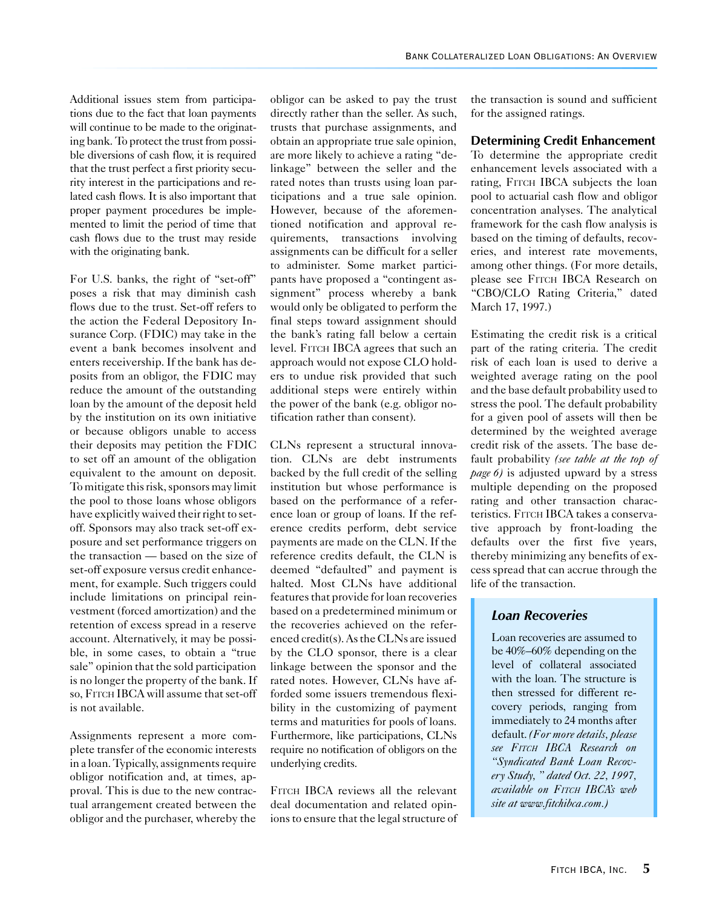Additional issues stem from participations due to the fact that loan payments will continue to be made to the originating bank. To protect the trust from possible diversions of cash flow, it is required that the trust perfect a first priority security interest in the participations and related cash flows. It is also important that proper payment procedures be implemented to limit the period of time that cash flows due to the trust may reside with the originating bank.

For U.S. banks, the right of "set-off" poses a risk that may diminish cash flows due to the trust. Set-off refers to the action the Federal Depository Insurance Corp. (FDIC) may take in the event a bank becomes insolvent and enters receivership. If the bank has deposits from an obligor, the FDIC may reduce the amount of the outstanding loan by the amount of the deposit held by the institution on its own initiative or because obligors unable to access their deposits may petition the FDIC to set off an amount of the obligation equivalent to the amount on deposit. To mitigate this risk, sponsors may limit the pool to those loans whose obligors have explicitly waived their right to setoff. Sponsors may also track set-off exposure and set performance triggers on the transaction — based on the size of set-off exposure versus credit enhancement, for example. Such triggers could include limitations on principal reinvestment (forced amortization) and the retention of excess spread in a reserve account. Alternatively, it may be possible, in some cases, to obtain a "true sale" opinion that the sold participation is no longer the property of the bank. If so, FITCH IBCA will assume that set-off is not available.

Assignments represent a more complete transfer of the economic interests in a loan. Typically, assignments require obligor notification and, at times, approval. This is due to the new contractual arrangement created between the obligor and the purchaser, whereby the

obligor can be asked to pay the trust directly rather than the seller. As such, trusts that purchase assignments, and obtain an appropriate true sale opinion, are more likely to achieve a rating "delinkage" between the seller and the rated notes than trusts using loan participations and a true sale opinion. However, because of the aforementioned notification and approval requirements, transactions involving assignments can be difficult for a seller to administer. Some market participants have proposed a "contingent assignment" process whereby a bank would only be obligated to perform the final steps toward assignment should the bank's rating fall below a certain level. FITCH IBCA agrees that such an approach would not expose CLO holders to undue risk provided that such additional steps were entirely within the power of the bank (e.g. obligor notification rather than consent).

CLNs represent a structural innovation. CLNs are debt instruments backed by the full credit of the selling institution but whose performance is based on the performance of a reference loan or group of loans. If the reference credits perform, debt service payments are made on the CLN. If the reference credits default, the CLN is deemed "defaulted" and payment is halted. Most CLNs have additional features that provide for loan recoveries based on a predetermined minimum or the recoveries achieved on the referenced credit(s). As the CLNs are issued by the CLO sponsor, there is a clear linkage between the sponsor and the rated notes. However, CLNs have afforded some issuers tremendous flexibility in the customizing of payment terms and maturities for pools of loans. Furthermore, like participations, CLNs require no notification of obligors on the underlying credits.

FITCH IBCA reviews all the relevant deal documentation and related opinions to ensure that the legal structure of the transaction is sound and sufficient for the assigned ratings.

#### **Determining Credit Enhancement**

To determine the appropriate credit enhancement levels associated with a rating, FITCH IBCA subjects the loan pool to actuarial cash flow and obligor concentration analyses. The analytical framework for the cash flow analysis is based on the timing of defaults, recoveries, and interest rate movements, among other things. (For more details, please see FITCH IBCA Research on "CBO/CLO Rating Criteria," dated March 17, 1997.)

Estimating the credit risk is a critical part of the rating criteria. The credit risk of each loan is used to derive a weighted average rating on the pool and the base default probability used to stress the pool. The default probability for a given pool of assets will then be determined by the weighted average credit risk of the assets. The base default probability *(see table at the top of page 6)* is adjusted upward by a stress multiple depending on the proposed rating and other transaction characteristics. FITCH IBCA takes a conservative approach by front-loading the defaults over the first five years, thereby minimizing any benefits of excess spread that can accrue through the life of the transaction.

#### *Loan Recoveries*

Loan recoveries are assumed to be 40%–60% depending on the level of collateral associated with the loan. The structure is then stressed for different recovery periods, ranging from immediately to 24 months after default. *(For more details, please see FITCH IBCA Research on "Syndicated Bank Loan Recovery Study, " dated Oct. 22, 1997, available on FITCH IBCA's web site at www.fitchibca.com.)*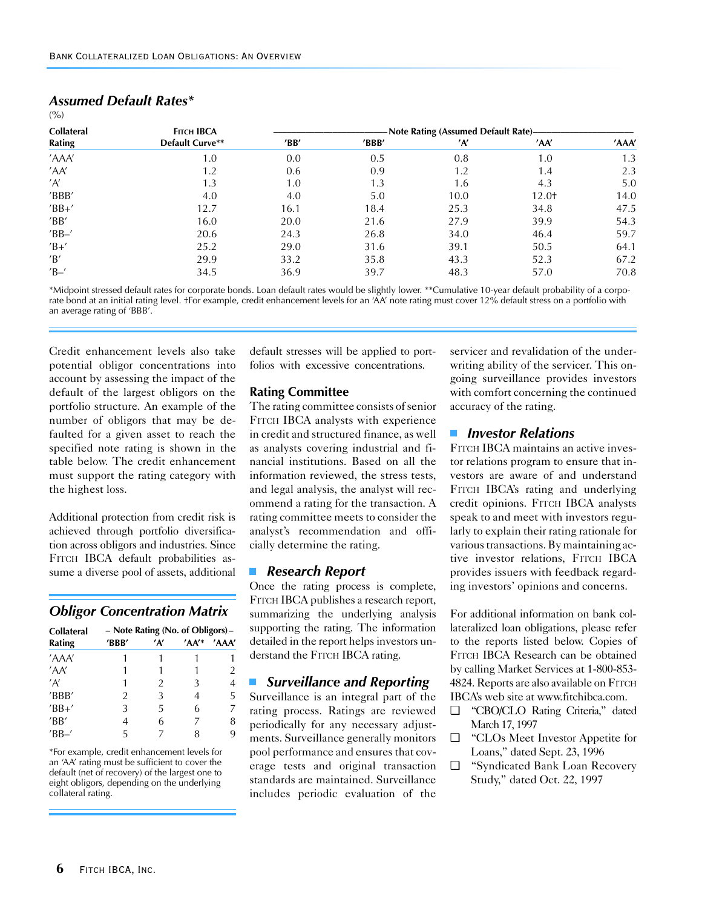| <b>Collateral</b> | <b>FITCH IBCA</b><br>Default Curve** | -Note Rating (Assumed Default Rate)- |       |      |       |       |
|-------------------|--------------------------------------|--------------------------------------|-------|------|-------|-------|
| Rating            |                                      | $^{\prime}$ BB $^{\prime}$           | 'BBB' | 'A'  | 'AA'  | 'AAA' |
| 'AAA'             | 1.0                                  | 0.0                                  | 0.5   | 0.8  | 1.0   | 1.3   |
| 'AA'              | 1.2                                  | 0.6                                  | 0.9   | 1.2  | 1.4   | 2.3   |
| 'A'               | 1.3                                  | 1.0                                  | 1.3   | 1.6  | 4.3   | 5.0   |
| 'BBB'             | 4.0                                  | 4.0                                  | 5.0   | 10.0 | 12.0† | 14.0  |
| $'BB+'$           | 12.7                                 | 16.1                                 | 18.4  | 25.3 | 34.8  | 47.5  |
| 'BB'              | 16.0                                 | 20.0                                 | 21.6  | 27.9 | 39.9  | 54.3  |
| $'BB-'$           | 20.6                                 | 24.3                                 | 26.8  | 34.0 | 46.4  | 59.7  |
| $'B$ +'           | 25.2                                 | 29.0                                 | 31.6  | 39.1 | 50.5  | 64.1  |
| 'B'               | 29.9                                 | 33.2                                 | 35.8  | 43.3 | 52.3  | 67.2  |
| $'B -'$           | 34.5                                 | 36.9                                 | 39.7  | 48.3 | 57.0  | 70.8  |

## *Assumed Default Rates\**

 $(9/0)$ 

\*Midpoint stressed default rates for corporate bonds. Loan default rates would be slightly lower. \*\*Cumulative 10-year default probability of a corporate bond at an initial rating level. †For example, credit enhancement levels for an 'AA' note rating must cover 12% default stress on a portfolio with an average rating of 'BBB'.

Credit enhancement levels also take potential obligor concentrations into account by assessing the impact of the default of the largest obligors on the portfolio structure. An example of the number of obligors that may be defaulted for a given asset to reach the specified note rating is shown in the table below. The credit enhancement must support the rating category with the highest loss.

Additional protection from credit risk is achieved through portfolio diversification across obligors and industries. Since FITCH IBCA default probabilities assume a diverse pool of assets, additional

#### *Obligor Concentration Matrix*

| <b>Collateral</b>          | - Note Rating (No. of Obligors)- |     |      |       |  |
|----------------------------|----------------------------------|-----|------|-------|--|
| Rating                     | 'BBB'                            | 'A' | 'AA' | 'AAA' |  |
| 'AAA'                      |                                  |     |      |       |  |
| 'AA'                       |                                  |     |      | 2     |  |
| 'A'                        | 1                                | 2   | 3    | 4     |  |
| 'BBB'                      | 2                                | 3   | 4    | 5     |  |
| $'BB+'$                    | 3                                | 5   | 6    | 7     |  |
| $^{\prime}$ BB $^{\prime}$ | 4                                | 6   | 7    | 8     |  |
| $'BB-'$                    | 5                                |     |      | 9     |  |

\*For example, credit enhancement levels for an 'AA' rating must be sufficient to cover the default (net of recovery) of the largest one to eight obligors, depending on the underlying collateral rating.

default stresses will be applied to portfolios with excessive concentrations.

#### **Rating Committee**

The rating committee consists of senior FITCH IBCA analysts with experience in credit and structured finance, as well as analysts covering industrial and financial institutions. Based on all the information reviewed, the stress tests, and legal analysis, the analyst will recommend a rating for the transaction. A rating committee meets to consider the analyst's recommendation and officially determine the rating.

#### *Research Report*

Once the rating process is complete, FITCH IBCA publishes a research report, summarizing the underlying analysis supporting the rating. The information detailed in the report helps investors understand the FITCH IBCA rating.

#### *Surveillance and Reporting*  $\Box$

Surveillance is an integral part of the rating process. Ratings are reviewed periodically for any necessary adjustments. Surveillance generally monitors pool performance and ensures that coverage tests and original transaction standards are maintained. Surveillance includes periodic evaluation of the

servicer and revalidation of the underwriting ability of the servicer. This ongoing surveillance provides investors with comfort concerning the continued accuracy of the rating.

#### *Investor Relations*

FITCH IBCA maintains an active investor relations program to ensure that investors are aware of and understand FITCH IBCA's rating and underlying credit opinions. FITCH IBCA analysts speak to and meet with investors regularly to explain their rating rationale for various transactions. By maintaining active investor relations, FITCH IBCA provides issuers with feedback regarding investors' opinions and concerns.

For additional information on bank collateralized loan obligations, please refer to the reports listed below. Copies of FITCH IBCA Research can be obtained by calling Market Services at 1-800-853- 4824. Reports are also available on FITCH IBCA's web site at www.fitchibca.com.

- ❑ "CBO/CLO Rating Criteria," dated March 17, 1997
- ❑ "CLOs Meet Investor Appetite for Loans," dated Sept. 23, 1996
- ❑ "Syndicated Bank Loan Recovery Study," dated Oct. 22, 1997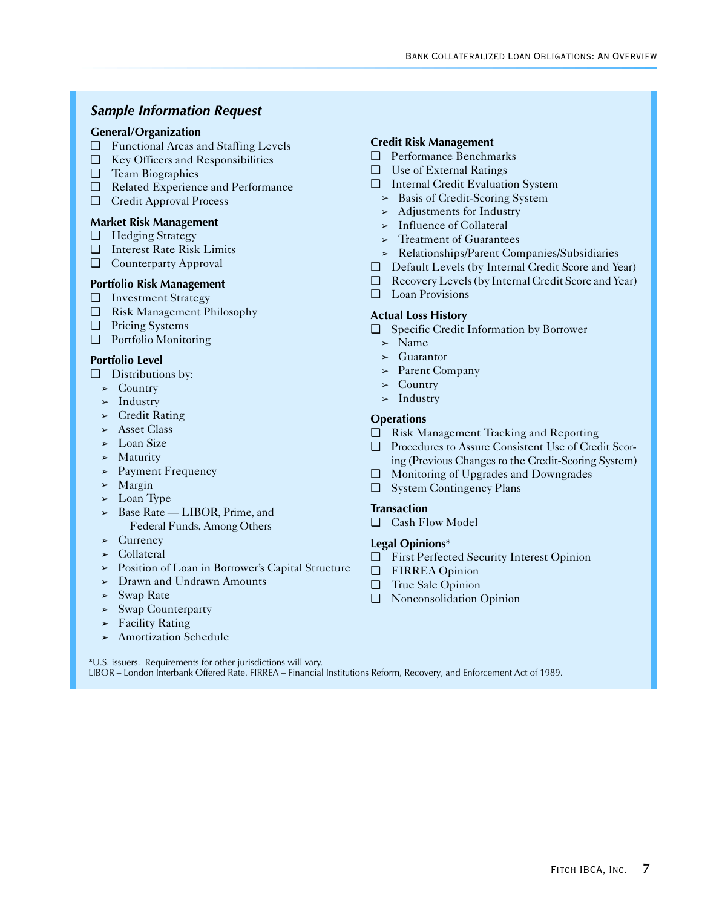## *Sample Information Request*

#### **General/Organization**

- ❑ Functional Areas and Staffing Levels
- ❑ Key Officers and Responsibilities
- ❑ Team Biographies
- ❑ Related Experience and Performance
- ❑ Credit Approval Process

#### **Market Risk Management**

- ❑ Hedging Strategy
- ❑ Interest Rate Risk Limits
- ❑ Counterparty Approval

#### **Portfolio Risk Management**

- ❑ Investment Strategy
- ❑ Risk Management Philosophy
- ❑ Pricing Systems
- ❑ Portfolio Monitoring

#### **Portfolio Level**

- ❑ Distributions by:
	- $\triangleright$  Country
	- $>$  Industry
	- $\blacktriangleright$  Credit Rating
	- ➢ Asset Class
	- $\geq$  Loan Size
	- $>$  Maturity
	- ➢ Payment Frequency
	- ➢ Margin
	- $\geq$  Loan Type
	- ➢ Base Rate LIBOR, Prime, and Federal Funds, Among Others
	- $\geq$  Currency
	- ➢ Collateral
	- ➢ Position of Loan in Borrower's Capital Structure
	- ➢ Drawn and Undrawn Amounts
	- $>$  Swap Rate
	- ➢ Swap Counterparty
	- $\blacktriangleright$  Facility Rating
	- ➢ Amortization Schedule

#### **Credit Risk Management**

- ❑ Performance Benchmarks
- ❑ Use of External Ratings
- ❑ Internal Credit Evaluation System
	- ➢ Basis of Credit-Scoring System
	- ➢ Adjustments for Industry
	- ➢ Influence of Collateral
	- $\geq$  Treatment of Guarantees
	- ➢ Relationships/Parent Companies/Subsidiaries
- ❑ Default Levels (by Internal Credit Score and Year)
- ❑ Recovery Levels (by Internal Credit Score and Year)
- ❑ Loan Provisions

#### **Actual Loss History**

- ❑ Specific Credit Information by Borrower
	- $>$  Name
	- ➢ Guarantor
	- ➢ Parent Company
	- $\triangleright$  Country
	- $>$  Industry

#### **Operations**

- ❑ Risk Management Tracking and Reporting
- ❑ Procedures to Assure Consistent Use of Credit Scoring (Previous Changes to the Credit-Scoring System)
- ❑ Monitoring of Upgrades and Downgrades
- ❑ System Contingency Plans

#### **Transaction**

❑ Cash Flow Model

#### **Legal Opinions\***

- ❑ First Perfected Security Interest Opinion
- ❑ FIRREA Opinion
- ❑ True Sale Opinion
- ❑ Nonconsolidation Opinion

\*U.S. issuers. Requirements for other jurisdictions will vary. LIBOR – London Interbank Offered Rate. FIRREA – Financial Institutions Reform, Recovery, and Enforcement Act of 1989.